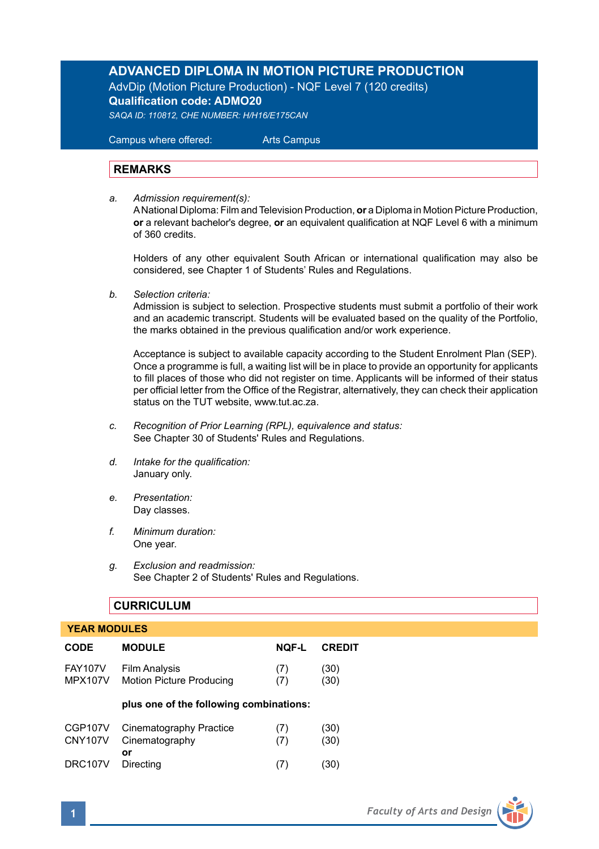# **ADVANCED DIPLOMA IN MOTION PICTURE PRODUCTION**

AdvDip (Motion Picture Production) - NQF Level 7 (120 credits) **Qualification code: ADMO20**

*SAQA ID: 110812, CHE NUMBER: H/H16/E175CAN*

 Campus where offered: Arts Campus

# **REMARKS**

*a. Admission requirement(s):* 

A National Diploma: Film and Television Production, **or** a Diploma in Motion Picture Production, **or** a relevant bachelor's degree, **or** an equivalent qualification at NQF Level 6 with a minimum of 360 credits.

Holders of any other equivalent South African or international qualification may also be considered, see Chapter 1 of Students' Rules and Regulations.

*b. Selection criteria:*

Admission is subject to selection. Prospective students must submit a portfolio of their work and an academic transcript. Students will be evaluated based on the quality of the Portfolio, the marks obtained in the previous qualification and/or work experience.

 Acceptance is subject to available capacity according to the Student Enrolment Plan (SEP). Once a programme is full, a waiting list will be in place to provide an opportunity for applicants to fill places of those who did not register on time. Applicants will be informed of their status per official letter from the Office of the Registrar, alternatively, they can check their application status on the TUT website, www.tut.ac.za.

- *c. Recognition of Prior Learning (RPL), equivalence and status:* See Chapter 30 of Students' Rules and Regulations.
- *d. Intake for the qualification:* January only.
- *e. Presentation:* Day classes.
- *f. Minimum duration:* One year.
- *g. Exclusion and readmission:* See Chapter 2 of Students' Rules and Regulations.

### **CURRICULUM**

 **YEAR MODULES**

| I EAR MUDULES                    |                                                         |            |               |  |  |  |
|----------------------------------|---------------------------------------------------------|------------|---------------|--|--|--|
| <b>CODE</b>                      | <b>MODULE</b>                                           | NQF-L      | <b>CREDIT</b> |  |  |  |
| <b>FAY107V</b><br><b>MPX107V</b> | <b>Film Analysis</b><br><b>Motion Picture Producing</b> | (7)<br>(7) | (30)<br>(30)  |  |  |  |

#### **plus one of the following combinations:**

| CGP107V        | Cinematography Practice | (7) | (30) |
|----------------|-------------------------|-----|------|
| <b>CNY107V</b> | Cinematography          | (7) | (30) |
| <b>DRC107V</b> | o٢<br>Directing         | (7) | (30) |

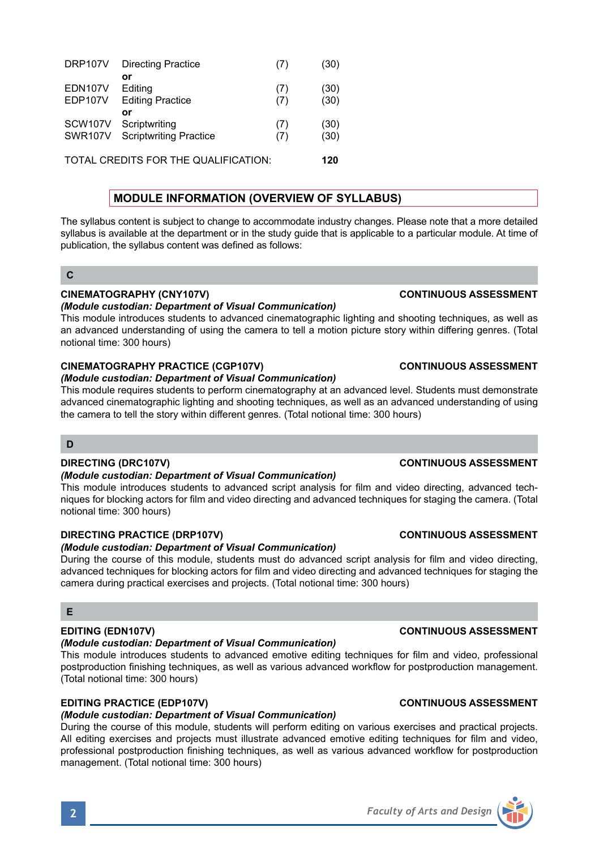| DRP107V              | <b>Directing Practice</b>     | (7) | (30) |
|----------------------|-------------------------------|-----|------|
|                      | ٥r                            |     |      |
| EDN107V              | Editing                       | (7) | (30) |
| EDP107V              | <b>Editing Practice</b>       | (7) | (30) |
|                      | or                            |     |      |
| SCW <sub>107</sub> V | Scriptwriting                 | (7) | (30) |
| <b>SWR107V</b>       | <b>Scriptwriting Practice</b> | (7) | (30) |
|                      |                               |     |      |
|                      |                               |     |      |

TOTAL CREDITS FOR THE QUALIFICATION: **120**

# **MODULE INFORMATION (OVERVIEW OF SYLLABUS)**

The syllabus content is subject to change to accommodate industry changes. Please note that a more detailed syllabus is available at the department or in the study guide that is applicable to a particular module. At time of publication, the syllabus content was defined as follows:

## **C**

### **CINEMATOGRAPHY (CNY107V) CONTINUOUS ASSESSMENT**

#### *(Module custodian: Department of Visual Communication)*

This module introduces students to advanced cinematographic lighting and shooting techniques, as well as an advanced understanding of using the camera to tell a motion picture story within differing genres. (Total notional time: 300 hours)

# **CINEMATOGRAPHY PRACTICE (CGP107V) CONTINUOUS ASSESSMENT**

#### *(Module custodian: Department of Visual Communication)*

This module requires students to perform cinematography at an advanced level. Students must demonstrate advanced cinematographic lighting and shooting techniques, as well as an advanced understanding of using the camera to tell the story within different genres. (Total notional time: 300 hours)

### **D**

#### *(Module custodian: Department of Visual Communication)*

This module introduces students to advanced script analysis for film and video directing, advanced techniques for blocking actors for film and video directing and advanced techniques for staging the camera. (Total notional time: 300 hours)

# **DIRECTING PRACTICE (DRP107V) CONTINUOUS ASSESSMENT**

# *(Module custodian: Department of Visual Communication)*

During the course of this module, students must do advanced script analysis for film and video directing, advanced techniques for blocking actors for film and video directing and advanced techniques for staging the camera during practical exercises and projects. (Total notional time: 300 hours)

### **E**

# *(Module custodian: Department of Visual Communication)*

This module introduces students to advanced emotive editing techniques for film and video, professional postproduction finishing techniques, as well as various advanced workflow for postproduction management. (Total notional time: 300 hours)

### **EDITING PRACTICE (EDP107V) CONTINUOUS ASSESSMENT**

# *(Module custodian: Department of Visual Communication)*

During the course of this module, students will perform editing on various exercises and practical projects. All editing exercises and projects must illustrate advanced emotive editing techniques for film and video, professional postproduction finishing techniques, as well as various advanced workflow for postproduction management. (Total notional time: 300 hours)

# **DIRECTING (DRC107V) CONTINUOUS ASSESSMENT**

# **EDITING (EDN107V) CONTINUOUS ASSESSMENT**